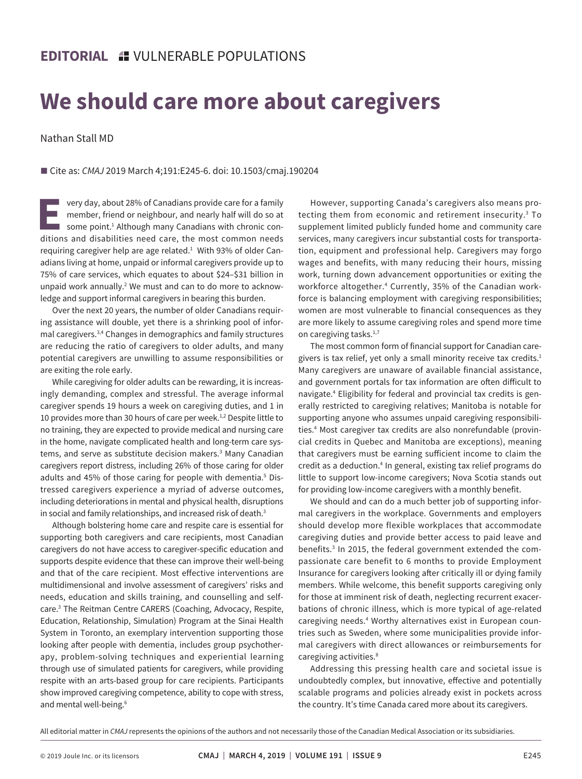## **We should care more about caregivers**

Nathan Stall MD

■ Cite as: *CMAJ* 2019 March 4;191:E245-6. doi: 10.1503/cmaj.190204

**EVERTUAN Very day, about 28% of Canadians provide care for a family<br>member, friend or neighbour, and nearly half will do so at<br>some point.<sup>1</sup> Although many Canadians with chronic con-<br>ditions and disabilities need care, t** member, friend or neighbour, and nearly half will do so at some point.<sup>1</sup> Although many Canadians with chronic conditions and disabilities need care, the most common needs requiring caregiver help are age related. 1 With 93% of older Canadians living at home, unpaid or informal caregivers provide up to 75% of care services, which equates to about \$24–\$31 billion in unpaid work annually.<sup>2</sup> We must and can to do more to acknowledge and support informal caregivers in bearing this burden.

Over the next 20 years, the number of older Canadians requiring assistance will double, yet there is a shrinking pool of informal caregivers.3,4 Changes in demographics and family structures are reducing the ratio of caregivers to older adults, and many potential caregivers are unwilling to assume responsibilities or are exiting the role early.

While caregiving for older adults can be rewarding, it is increasingly demanding, complex and stressful. The average informal caregiver spends 19 hours a week on caregiving duties, and 1 in 10 provides more than 30 hours of care per week.<sup>1,2</sup> Despite little to no training, they are expected to provide medical and nursing care in the home, navigate complicated health and long-term care systems, and serve as substitute decision makers.<sup>3</sup> Many Canadian caregivers report distress, including 26% of those caring for older adults and 45% of those caring for people with dementia.<sup>5</sup> Distressed caregivers experience a myriad of adverse outcomes, including deteriorations in mental and physical health, disruptions in social and family relationships, and increased risk of death.<sup>3</sup>

Although bolstering home care and respite care is essential for supporting both caregivers and care recipients, most Canadian caregivers do not have access to caregiver-specific education and supports despite evidence that these can improve their well-being and that of the care recipient. Most effective interventions are multidimensional and involve assessment of caregivers' risks and needs, education and skills training, and counselling and selfcare.3 The Reitman Centre CARERS (Coaching, Advocacy, Respite, Education, Relationship, Simulation) Program at the Sinai Health System in Toronto, an exemplary intervention supporting those looking after people with dementia, includes group psychotherapy, problem-solving techniques and experiential learning through use of simulated patients for caregivers, while providing respite with an arts-based group for care recipients. Participants show improved caregiving competence, ability to cope with stress, and mental well-being.<sup>6</sup>

However, supporting Canada's caregivers also means protecting them from economic and retirement insecurity.3 To supplement limited publicly funded home and community care services, many caregivers incur substantial costs for transportation, equipment and professional help. Caregivers may forgo wages and benefits, with many reducing their hours, missing work, turning down advancement opportunities or exiting the workforce altogether.4 Currently, 35% of the Canadian workforce is balancing employment with caregiving responsibilities; women are most vulnerable to financial consequences as they are more likely to assume caregiving roles and spend more time on caregiving tasks.<sup>1,7</sup>

The most common form of financial support for Canadian caregivers is tax relief, yet only a small minority receive tax credits. $<sup>1</sup>$ </sup> Many caregivers are unaware of available financial assistance, and government portals for tax information are often difficult to navigate.4 Eligibility for federal and provincial tax credits is generally restricted to caregiving relatives; Manitoba is notable for supporting anyone who assumes unpaid caregiving responsibilities.4 Most caregiver tax credits are also nonrefundable (provincial credits in Quebec and Manitoba are exceptions), meaning that caregivers must be earning sufficient income to claim the credit as a deduction.4 In general, existing tax relief programs do little to support low-income caregivers; Nova Scotia stands out for providing low-income caregivers with a monthly benefit.

We should and can do a much better job of supporting informal caregivers in the workplace. Governments and employers should develop more flexible workplaces that accommodate caregiving duties and provide better access to paid leave and benefits.<sup>3</sup> In 2015, the federal government extended the compassionate care benefit to 6 months to provide Employment Insurance for caregivers looking after critically ill or dying family members. While welcome, this benefit supports caregiving only for those at imminent risk of death, neglecting recurrent exacerbations of chronic illness, which is more typical of age-related caregiving needs.<sup>4</sup> Worthy alternatives exist in European countries such as Sweden, where some municipalities provide informal caregivers with direct allowances or reimbursements for caregiving activities.8

Addressing this pressing health care and societal issue is undoubtedly complex, but innovative, effective and potentially scalable programs and policies already exist in pockets across the country. It's time Canada cared more about its caregivers.

All editorial matter in *CMAJ* represents the opinions of the authors and not necessarily those of the Canadian Medical Association or its subsidiaries.